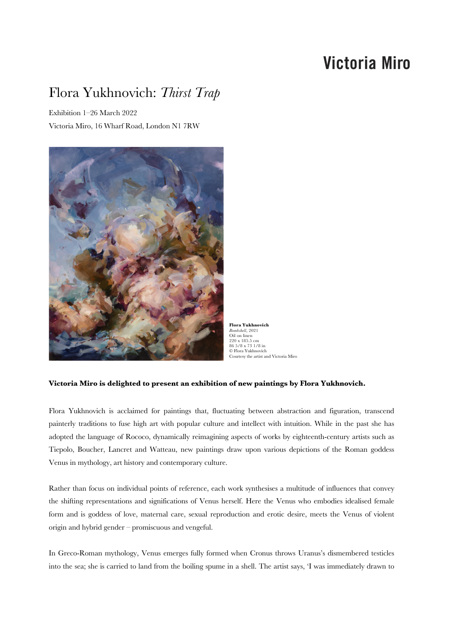# **Victoria Miro**

# Flora Yukhnovich: *Thirst Trap*

Exhibition 1–26 March 2022 Victoria Miro, 16 Wharf Road, London N1 7RW



**Flora Yukhnovich** *Bombshell*, 2021 Oil on linen 220 x 185.5 cm 86 5/8 x 73 1/8 in © Flora Yukhnovich Courtesy the artist and Victoria Miro

## **Victoria Miro is delighted to present an exhibition of new paintings by Flora Yukhnovich.**

Flora Yukhnovich is acclaimed for paintings that, fluctuating between abstraction and figuration, transcend painterly traditions to fuse high art with popular culture and intellect with intuition. While in the past she has adopted the language of Rococo, dynamically reimagining aspects of works by eighteenth-century artists such as Tiepolo, Boucher, Lancret and Watteau, new paintings draw upon various depictions of the Roman goddess Venus in mythology, art history and contemporary culture.

Rather than focus on individual points of reference, each work synthesises a multitude of influences that convey the shifting representations and significations of Venus herself. Here the Venus who embodies idealised female form and is goddess of love, maternal care, sexual reproduction and erotic desire, meets the Venus of violent origin and hybrid gender – promiscuous and vengeful.

In Greco-Roman mythology, Venus emerges fully formed when Cronus throws Uranus's dismembered testicles into the sea; she is carried to land from the boiling spume in a shell. The artist says, 'I was immediately drawn to